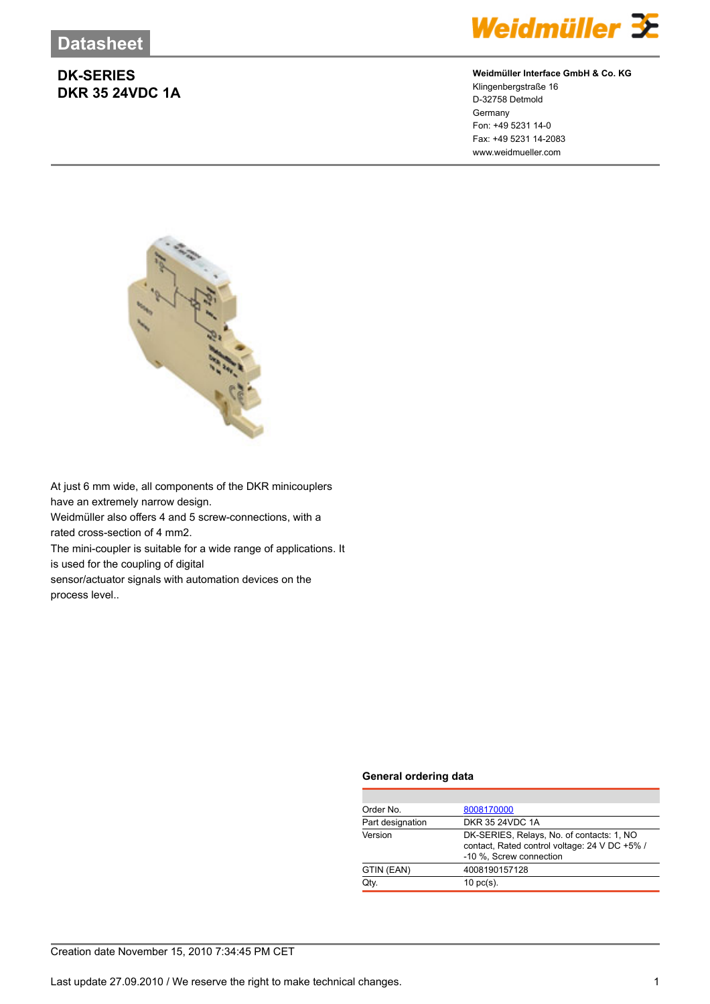

## **Weidmüller Interface GmbH & Co. KG**

Klingenbergstraße 16 D-32758 Detmold Germany Fon: +49 5231 14-0 Fax: +49 5231 14-2083 www.weidmueller.com



At just 6 mm wide, all components of the DKR minicouplers have an extremely narrow design.

Weidmüller also offers 4 and 5 screw-connections, with a rated cross-section of 4 mm2.

The mini-coupler is suitable for a wide range of applications. It is used for the coupling of digital

sensor/actuator signals with automation devices on the process level..

## **General ordering data**

| Order No.        | 8008170000                                                                                                            |  |  |
|------------------|-----------------------------------------------------------------------------------------------------------------------|--|--|
| Part designation | DKR 35 24VDC 1A                                                                                                       |  |  |
| Version          | DK-SERIES, Relays, No. of contacts: 1, NO<br>contact, Rated control voltage: 24 V DC +5% /<br>-10 %, Screw connection |  |  |
| GTIN (EAN)       | 4008190157128                                                                                                         |  |  |
| Qtv.             | $10 \text{ pc(s)}$ .                                                                                                  |  |  |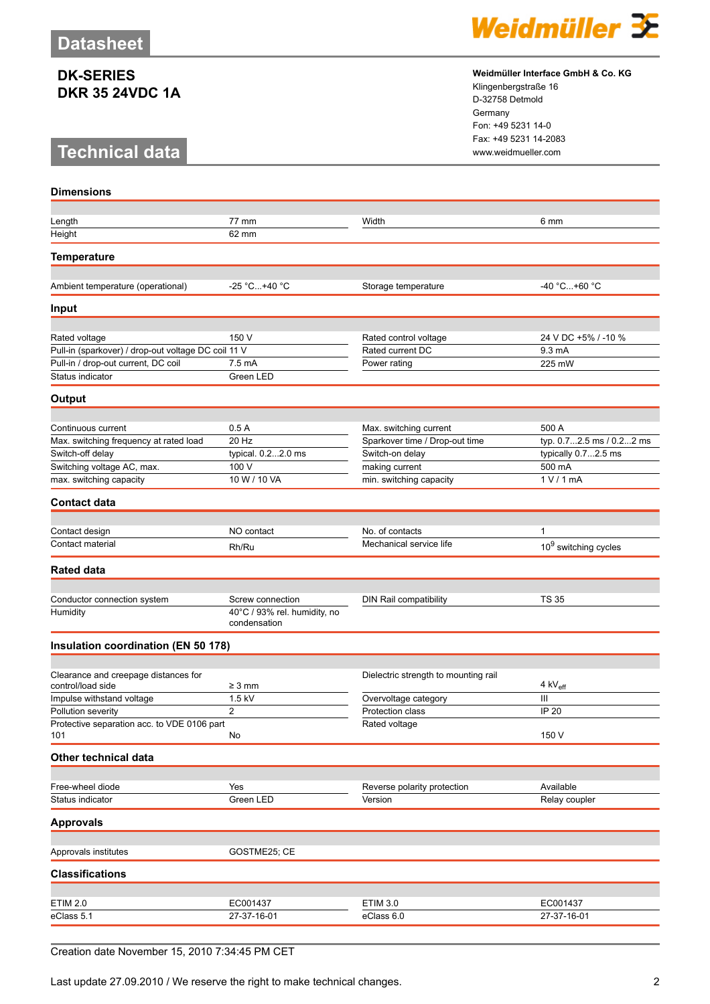# **Technical data www.weidmueller.com**

**Dimensions**



#### **Weidmüller Interface GmbH & Co. KG**

Klingenbergstraße 16 D-32758 Detmold Germany Fon: +49 5231 14-0 Fax: +49 5231 14-2083

| Length                                              | 77 mm                                        | Width                                | 6 mm                     |
|-----------------------------------------------------|----------------------------------------------|--------------------------------------|--------------------------|
| Height                                              | 62 mm                                        |                                      |                          |
| <b>Temperature</b>                                  |                                              |                                      |                          |
|                                                     |                                              |                                      |                          |
| Ambient temperature (operational)                   | -25 °C+40 °C                                 | Storage temperature                  | -40 °C+60 °C             |
| <b>Input</b>                                        |                                              |                                      |                          |
|                                                     |                                              |                                      |                          |
| Rated voltage                                       | 150 V                                        | Rated control voltage                | 24 V DC +5% / -10 %      |
| Pull-in (sparkover) / drop-out voltage DC coil 11 V |                                              | Rated current DC                     | 9.3 mA                   |
| Pull-in / drop-out current, DC coil                 | 7.5 mA                                       | Power rating                         | 225 mW                   |
| Status indicator                                    | Green LED                                    |                                      |                          |
| Output                                              |                                              |                                      |                          |
| Continuous current                                  | 0.5A                                         | Max. switching current               | 500 A                    |
| Max. switching frequency at rated load              | 20 Hz                                        | Sparkover time / Drop-out time       | typ. 0.72.5 ms / 0.22 ms |
| Switch-off delay                                    | typical. 0.22.0 ms                           | Switch-on delay                      | typically 0.72.5 ms      |
| Switching voltage AC, max.                          | 100 V                                        | making current                       | 500 mA                   |
| max. switching capacity                             | 10 W / 10 VA                                 | min. switching capacity              | 1 V / 1 mA               |
| <b>Contact data</b>                                 |                                              |                                      |                          |
|                                                     |                                              |                                      |                          |
| Contact design                                      | NO contact                                   | No. of contacts                      | 1                        |
| Contact material                                    | Rh/Ru                                        | Mechanical service life              | $10^9$ switching cycles  |
| <b>Rated data</b>                                   |                                              |                                      |                          |
|                                                     |                                              |                                      |                          |
| Conductor connection system                         | Screw connection                             | DIN Rail compatibility               | <b>TS 35</b>             |
| Humidity                                            | 40°C / 93% rel. humidity, no<br>condensation |                                      |                          |
| Insulation coordination (EN 50 178)                 |                                              |                                      |                          |
|                                                     |                                              |                                      |                          |
| Clearance and creepage distances for                |                                              | Dielectric strength to mounting rail |                          |
| control/load side                                   | $\geq 3$ mm                                  |                                      | 4 kV <sub>eff</sub>      |
| Impulse withstand voltage                           | 1.5 kV                                       | Overvoltage category                 | III                      |
| Pollution severity                                  | $\overline{c}$                               | Protection class                     | IP 20                    |
| Protective separation acc. to VDE 0106 part<br>101  | No                                           | Rated voltage                        | 150 V                    |
| Other technical data                                |                                              |                                      |                          |
|                                                     |                                              |                                      |                          |
| Free-wheel diode                                    | Yes                                          | Reverse polarity protection          | Available                |
| Status indicator                                    | Green LED                                    | Version                              | Relay coupler            |
| <b>Approvals</b>                                    |                                              |                                      |                          |
| Approvals institutes                                | GOSTME25; CE                                 |                                      |                          |
| <b>Classifications</b>                              |                                              |                                      |                          |
|                                                     |                                              |                                      |                          |
| <b>ETIM 2.0</b>                                     | EC001437                                     | <b>ETIM 3.0</b>                      | EC001437                 |
| eClass 5.1                                          | 27-37-16-01                                  | eClass 6.0                           | 27-37-16-01              |
|                                                     |                                              |                                      |                          |

## Creation date November 15, 2010 7:34:45 PM CET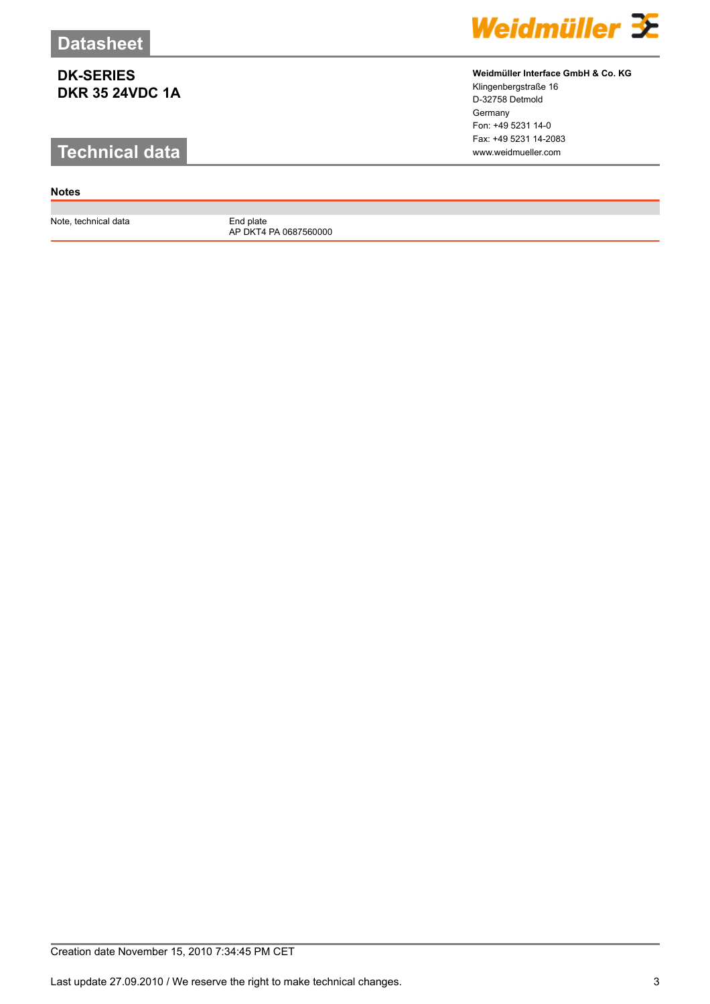# **Technical data www.weidmueller.com**

## **Notes**

Note, technical data End plate

AP DKT4 PA 0687560000



## **Weidmüller Interface GmbH & Co. KG**

Klingenbergstraße 16 D-32758 Detmold Germany Fon: +49 5231 14-0 Fax: +49 5231 14-2083